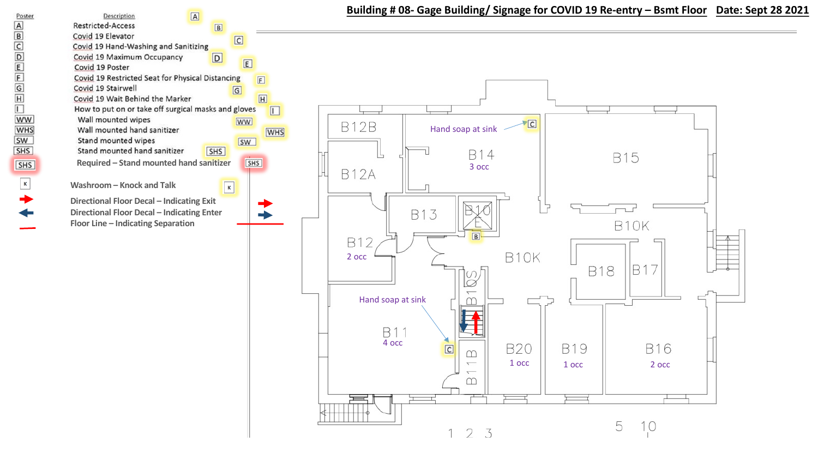

 $\boxed{B}$ 

 $\boxed{D}$ 

 $\boxed{C}$ 

 $\boxed{G}$ 

 $\boxed{\mathbf{K}}$ 

**WW** 

 $E$ 



## **Building # 08- Gage Building/ Signage for COVID 19 Re-entry – Bsmt Floor Date: Sept 28 2021**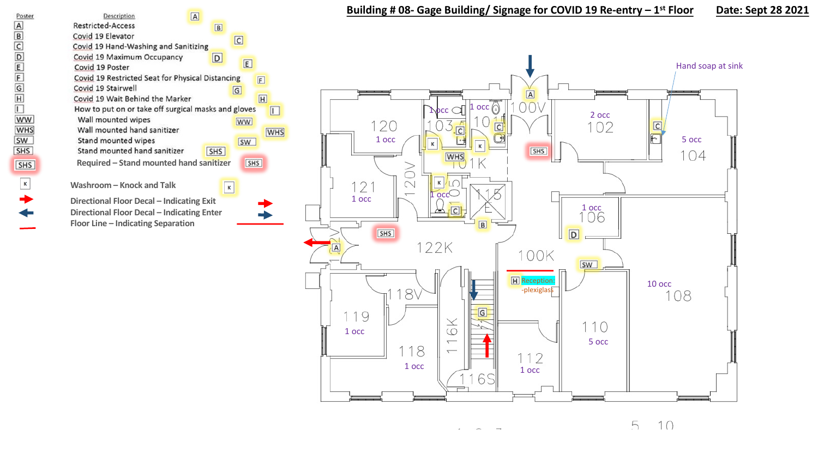





5  $10$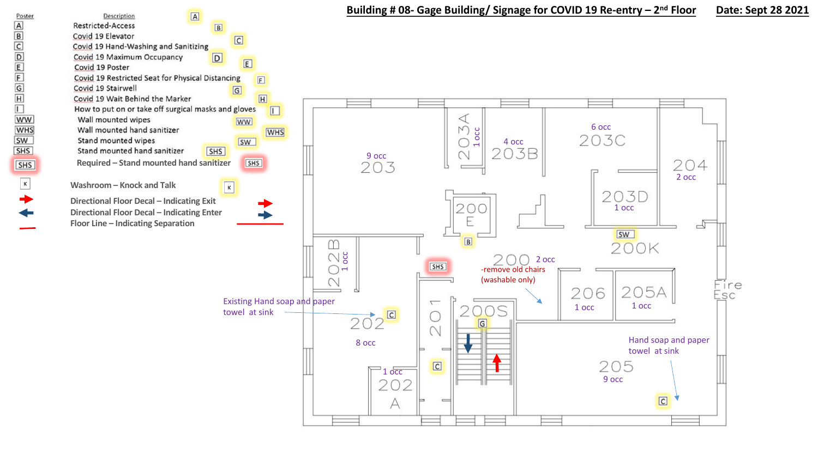